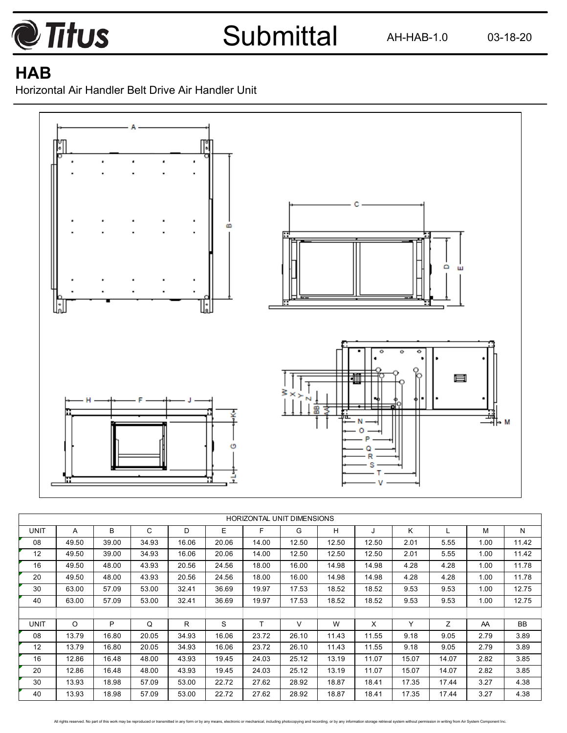

AH-HAB-1.0 03-18-20

## **HAB**

Horizontal Air Handler Belt Drive Air Handler Unit



|             | <b>HORIZONTAL UNIT DIMENSIONS</b> |       |       |       |       |       |       |       |       |       |       |      |           |
|-------------|-----------------------------------|-------|-------|-------|-------|-------|-------|-------|-------|-------|-------|------|-----------|
|             |                                   |       |       |       |       |       |       |       |       |       |       |      |           |
| <b>UNIT</b> | A                                 | B     | C     | D     | E     | F     | G     | н     | J     | K.    |       | м    | N         |
| 08          | 49.50                             | 39.00 | 34.93 | 16.06 | 20.06 | 14.00 | 12.50 | 12.50 | 12.50 | 2.01  | 5.55  | 1.00 | 11.42     |
| 12          | 49.50                             | 39.00 | 34.93 | 16.06 | 20.06 | 14.00 | 12.50 | 12.50 | 12.50 | 2.01  | 5.55  | 1.00 | 11.42     |
| 16          | 49.50                             | 48.00 | 43.93 | 20.56 | 24.56 | 18.00 | 16.00 | 14.98 | 14.98 | 4.28  | 4.28  | 1.00 | 11.78     |
| 20          | 49.50                             | 48.00 | 43.93 | 20.56 | 24.56 | 18.00 | 16.00 | 14.98 | 14.98 | 4.28  | 4.28  | 1.00 | 11.78     |
| 30          | 63.00                             | 57.09 | 53.00 | 32.41 | 36.69 | 19.97 | 17.53 | 18.52 | 18.52 | 9.53  | 9.53  | 1.00 | 12.75     |
| 40          | 63.00                             | 57.09 | 53.00 | 32.41 | 36.69 | 19.97 | 17.53 | 18.52 | 18.52 | 9.53  | 9.53  | 1.00 | 12.75     |
|             |                                   |       |       |       |       |       |       |       |       |       |       |      |           |
| <b>UNIT</b> | O                                 | P     | Q     | R     | S     | т     | V     | W     | X     | Y     | Z     | AA   | <b>BB</b> |
| 08          | 13.79                             | 16.80 | 20.05 | 34.93 | 16.06 | 23.72 | 26.10 | 11.43 | 11.55 | 9.18  | 9.05  | 2.79 | 3.89      |
| 12          | 13.79                             | 16.80 | 20.05 | 34.93 | 16.06 | 23.72 | 26.10 | 11.43 | 11.55 | 9.18  | 9.05  | 2.79 | 3.89      |
| 16          | 12.86                             | 16.48 | 48.00 | 43.93 | 19.45 | 24.03 | 25.12 | 13.19 | 11.07 | 15.07 | 14.07 | 2.82 | 3.85      |
| 20          | 12.86                             | 16.48 | 48.00 | 43.93 | 19.45 | 24.03 | 25.12 | 13.19 | 11.07 | 15.07 | 14.07 | 2.82 | 3.85      |
| 30          | 13.93                             | 18.98 | 57.09 | 53.00 | 22.72 | 27.62 | 28.92 | 18.87 | 18.41 | 17.35 | 17.44 | 3.27 | 4.38      |
| 40          | 13.93                             | 18.98 | 57.09 | 53.00 | 22.72 | 27.62 | 28.92 | 18.87 | 18.41 | 17.35 | 17.44 | 3.27 | 4.38      |

All rights reserved. No part of this work may be reproduced or transmitted in any form or by any means, electronic or mechanical, including photocopying and recording, or by any information storage retrieval system without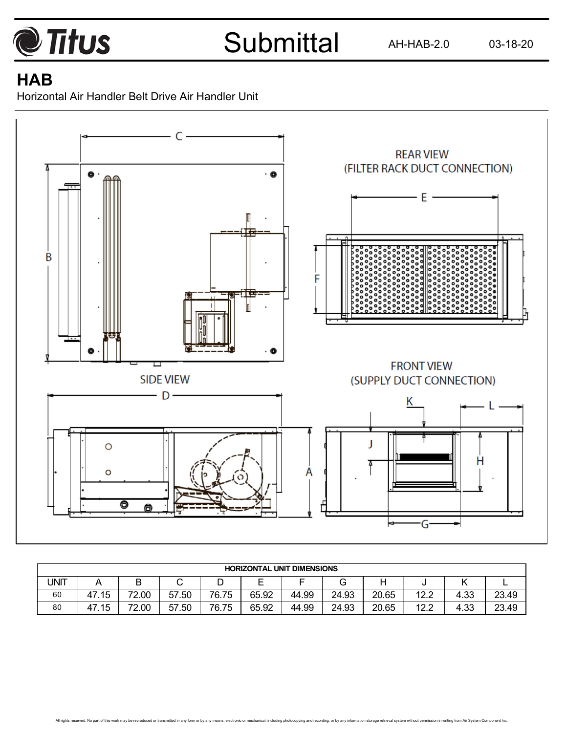

AH-HAB-2.0 03-18-20

## **HAB**

Horizontal Air Handler Belt Drive Air Handler Unit



|      | <b>HORIZONTAL UNIT DIMENSIONS</b> |       |            |       |        |       |       |       |                |      |       |  |
|------|-----------------------------------|-------|------------|-------|--------|-------|-------|-------|----------------|------|-------|--|
| UNIT |                                   | B     | ັ          |       | F<br>– |       |       |       |                |      | -     |  |
| 60   | .15<br>47                         | 72.00 | 57.50      | 76.75 | 65.92  | 44.99 | 24.93 | 20.65 | 12.2<br>$\sim$ | 4.33 | 23.49 |  |
| 80   | ึ.15<br>47                        | 72.00 | .50<br>57. | 76.75 | 65.92  | 44.99 | 24.93 | 20.65 | 12.2           | 4.33 | 23.49 |  |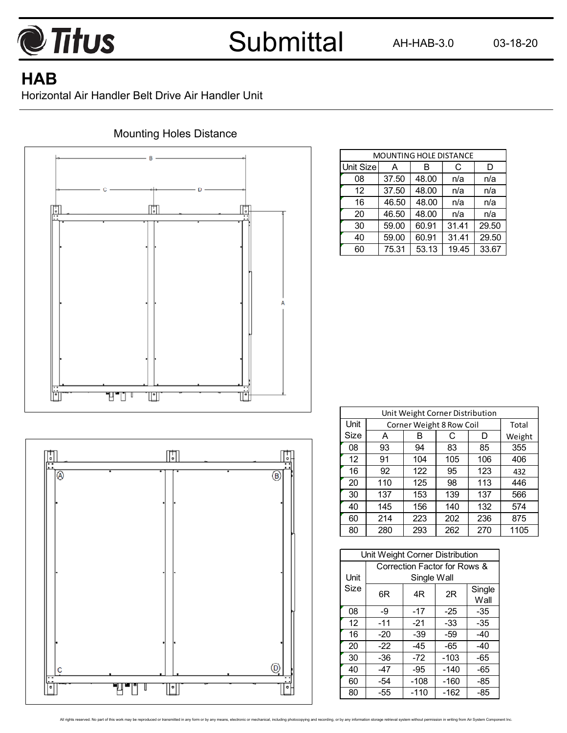

AH-HAB-3.0 03-18-20

## **HAB**

Horizontal Air Handler Belt Drive Air Handler Unit



#### Mounting Holes Distance

| <b>MOUNTING HOLE DISTANCE</b> |       |       |       |       |  |  |  |  |  |  |
|-------------------------------|-------|-------|-------|-------|--|--|--|--|--|--|
| Unit Size                     | А     | в     | С     | D     |  |  |  |  |  |  |
| 08                            | 37.50 | 48.00 | n/a   | n/a   |  |  |  |  |  |  |
| 12                            | 37.50 | 48.00 | n/a   | n/a   |  |  |  |  |  |  |
| 16                            | 46.50 | 48.00 | n/a   | n/a   |  |  |  |  |  |  |
| 20                            | 46.50 | 48.00 | n/a   | n/a   |  |  |  |  |  |  |
| 30                            | 59.00 | 60.91 | 31.41 | 29.50 |  |  |  |  |  |  |
| 40                            | 59.00 | 60.91 | 31.41 | 29.50 |  |  |  |  |  |  |
| 60                            | 75.31 | 53.13 | 19.45 | 33.67 |  |  |  |  |  |  |

| o<br>٠                             | ╔           | с                        |
|------------------------------------|-------------|--------------------------|
| $\overline{\circ}$                 | ī           | $\overline{\circledast}$ |
|                                    |             |                          |
|                                    |             |                          |
|                                    |             |                          |
|                                    |             |                          |
|                                    |             |                          |
|                                    |             |                          |
| C<br>$\overline{\phantom{a}}$<br>٠ |             | $^\copyright$<br>٠<br>٠  |
| ۰                                  | Ξ<br>U<br>۰ | ۰                        |

|      | Unit Weight Corner Distribution |                          |     |     |        |  |  |  |  |  |  |
|------|---------------------------------|--------------------------|-----|-----|--------|--|--|--|--|--|--|
| Unit |                                 | Corner Weight 8 Row Coil |     |     | Total  |  |  |  |  |  |  |
| Size | A                               | в                        | C   | D   | Weight |  |  |  |  |  |  |
| 08   | 93                              | 94                       | 83  | 85  | 355    |  |  |  |  |  |  |
| 12   | 91                              | 104                      | 105 | 106 | 406    |  |  |  |  |  |  |
| 16   | 92                              | 122                      | 95  | 123 | 432    |  |  |  |  |  |  |
| 20   | 110                             | 125                      | 98  | 113 | 446    |  |  |  |  |  |  |
| 30   | 137                             | 153                      | 139 | 137 | 566    |  |  |  |  |  |  |
| 40   | 145                             | 156                      | 140 | 132 | 574    |  |  |  |  |  |  |
| 60   | 214                             | 223                      | 202 | 236 | 875    |  |  |  |  |  |  |
| 80   | 280                             | 293                      | 262 | 270 | 1105   |  |  |  |  |  |  |

|      | Unit Weight Corner Distribution |                              |        |                |  |  |  |  |  |  |
|------|---------------------------------|------------------------------|--------|----------------|--|--|--|--|--|--|
|      |                                 | Correction Factor for Rows & |        |                |  |  |  |  |  |  |
| Unit | Single Wall                     |                              |        |                |  |  |  |  |  |  |
| Size | 6R                              | 4R                           | 2R     | Single<br>Wall |  |  |  |  |  |  |
| 08   | -9                              | -17                          | $-25$  | -35            |  |  |  |  |  |  |
| 12   | $-11$                           | $-21$                        | -33    | -35            |  |  |  |  |  |  |
| 16   | -20                             | -39                          | -59    | -40            |  |  |  |  |  |  |
| 20   | -22                             | -45                          | -65    | -40            |  |  |  |  |  |  |
| 30   | -36                             | -72                          | $-103$ | -65            |  |  |  |  |  |  |
| 40   | $-47$                           | -95                          | $-140$ | -65            |  |  |  |  |  |  |
| 60   | -54                             | $-108$                       | $-160$ | -85            |  |  |  |  |  |  |
| 80   | -55                             | $-110$                       | $-162$ | -85            |  |  |  |  |  |  |

All rights reserved. No part of this work may be reproduced or transmitted in any form or by any means, electronic or mechanical, including photocopying and recording, or by any information storage retrieval system without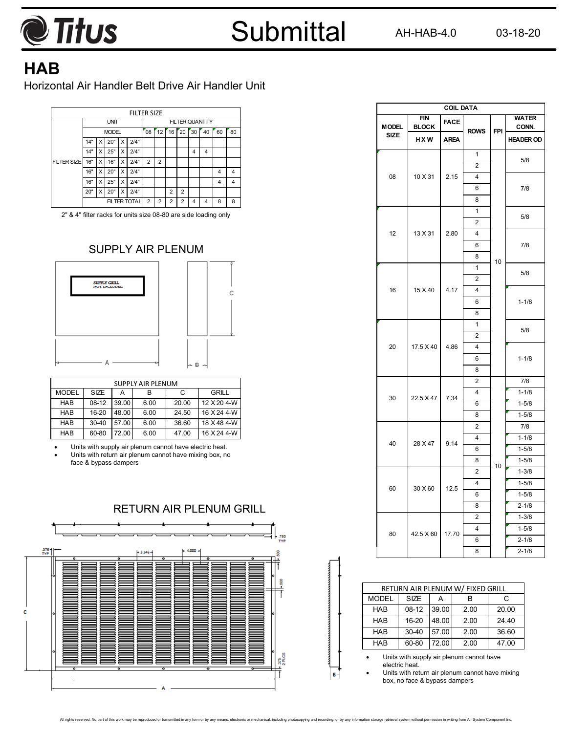

AH-HAB-4.0 03-18-20

## **HAB**

Horizontal Air Handler Belt Drive Air Handler Unit



2" & 4" filter racks for units size 08-80 are side loading only

#### SUPPLY AIR PLENUM



| <b>SUPPLY AIR PLENUM</b> |           |       |      |       |             |  |  |  |  |  |
|--------------------------|-----------|-------|------|-------|-------------|--|--|--|--|--|
| <b>MODEL</b>             | SIZE      | А     | в    | С     | GRILL       |  |  |  |  |  |
| <b>HAR</b>               | $08-12$   | 39.00 | 6.00 | 20.00 | 12 X 20 4-W |  |  |  |  |  |
| <b>HAB</b>               | $16 - 20$ | 48.00 | 6.00 | 24.50 | 16 X 24 4-W |  |  |  |  |  |
| <b>HAB</b>               | $30 - 40$ | 57.00 | 6.00 | 36.60 | 18 X 48 4-W |  |  |  |  |  |
| <b>HAB</b>               | 60-80     | 72.00 | 6.00 | 47.00 | 16 X 24 4-W |  |  |  |  |  |

 Units with supply air plenum cannot have electric heat. Units with return air plenum cannot have mixing box, no face & bypass dampers



|              | <b>COIL DATA</b>           |             |                         |            |                       |  |  |  |  |  |
|--------------|----------------------------|-------------|-------------------------|------------|-----------------------|--|--|--|--|--|
| <b>MODEL</b> | <b>FIN</b><br><b>BLOCK</b> | <b>FACE</b> | <b>ROWS</b>             | <b>FPI</b> | <b>WATER</b><br>CONN. |  |  |  |  |  |
| <b>SIZE</b>  | <b>HXW</b>                 | <b>AREA</b> |                         |            | <b>HEADER OD</b>      |  |  |  |  |  |
|              |                            |             | $\overline{1}$          |            | 5/8                   |  |  |  |  |  |
|              |                            |             | $\overline{2}$          |            |                       |  |  |  |  |  |
| 08           | 10 X 31                    | 2.15        | 4                       |            |                       |  |  |  |  |  |
|              |                            |             | 6                       |            | 7/8                   |  |  |  |  |  |
|              |                            |             | 8                       |            |                       |  |  |  |  |  |
|              |                            |             | 1                       |            | 5/8                   |  |  |  |  |  |
|              |                            | 2.80        | $\overline{2}$          |            |                       |  |  |  |  |  |
| 12           | 13 X 31                    |             | 4                       |            |                       |  |  |  |  |  |
|              |                            |             | 6                       |            | 7/8                   |  |  |  |  |  |
|              |                            |             | 8                       | 10         |                       |  |  |  |  |  |
|              |                            |             | 1                       |            | 5/8                   |  |  |  |  |  |
| 16           |                            |             | $\overline{2}$          |            |                       |  |  |  |  |  |
|              | 15 X 40                    | 4.17        | 4                       |            |                       |  |  |  |  |  |
|              |                            |             | 6                       |            | $1 - 1/8$             |  |  |  |  |  |
|              |                            |             | 8                       |            |                       |  |  |  |  |  |
|              |                            | 4.86        | 1                       |            | 5/8                   |  |  |  |  |  |
|              | 17.5 X 40                  |             | $\overline{2}$          |            |                       |  |  |  |  |  |
| 20           |                            |             | 4                       |            |                       |  |  |  |  |  |
|              |                            |             | 6                       |            | $1 - 1/8$             |  |  |  |  |  |
|              |                            |             | 8                       |            |                       |  |  |  |  |  |
|              |                            |             | $\overline{2}$          |            | 7/8                   |  |  |  |  |  |
| 30           | 22.5 X 47                  | 7.34        | 4                       |            | $1 - 1/8$             |  |  |  |  |  |
|              |                            |             | 6                       |            | $1 - 5/8$             |  |  |  |  |  |
|              |                            |             | 8                       |            | $1 - 5/8$             |  |  |  |  |  |
|              |                            |             | 2                       |            | 7/8                   |  |  |  |  |  |
| 40           | 28 X 47                    | 9.14        | 4                       |            | $1 - 1/8$             |  |  |  |  |  |
|              |                            |             | 6                       |            | $1 - 5/8$             |  |  |  |  |  |
|              |                            |             | 8                       | 10         | $1 - 5/8$             |  |  |  |  |  |
|              |                            |             | $\overline{2}$          |            | $1 - 3/8$             |  |  |  |  |  |
| 60           | 30 X 60                    | 12.5        | 4                       |            | $1 - 5/8$             |  |  |  |  |  |
|              |                            |             | 6                       |            | $1 - 5/8$             |  |  |  |  |  |
|              |                            |             | 8                       |            | $2 - 1/8$             |  |  |  |  |  |
|              |                            |             | $\overline{2}$          |            | $1 - 3/8$             |  |  |  |  |  |
| 80           | 42.5 X 60                  | 17.70       | $\overline{\mathbf{4}}$ |            | $1 - 5/8$             |  |  |  |  |  |
|              |                            |             | 6                       |            | $2 - 1/8$             |  |  |  |  |  |
|              |                            |             | 8                       |            | $2 - 1/8$             |  |  |  |  |  |

| RETURN AIR PLENUM W/ FIXED GRILL |             |       |      |       |  |  |  |  |
|----------------------------------|-------------|-------|------|-------|--|--|--|--|
| <b>MODEL</b>                     | <b>SIZE</b> |       | в    | C     |  |  |  |  |
| <b>HAB</b>                       | $08-12$     | 39.00 | 2.00 | 20.00 |  |  |  |  |
| <b>HAB</b>                       | $16 - 20$   | 48.00 | 2.00 | 24.40 |  |  |  |  |
| <b>HAB</b>                       | 30-40       | 57.00 | 2.00 | 36.60 |  |  |  |  |
| <b>HAB</b>                       | 60-80       | 72.00 | 2.00 | 47.00 |  |  |  |  |

 Units with supply air plenum cannot have electric heat.

 Units with return air plenum cannot have mixing box, no face & bypass dampers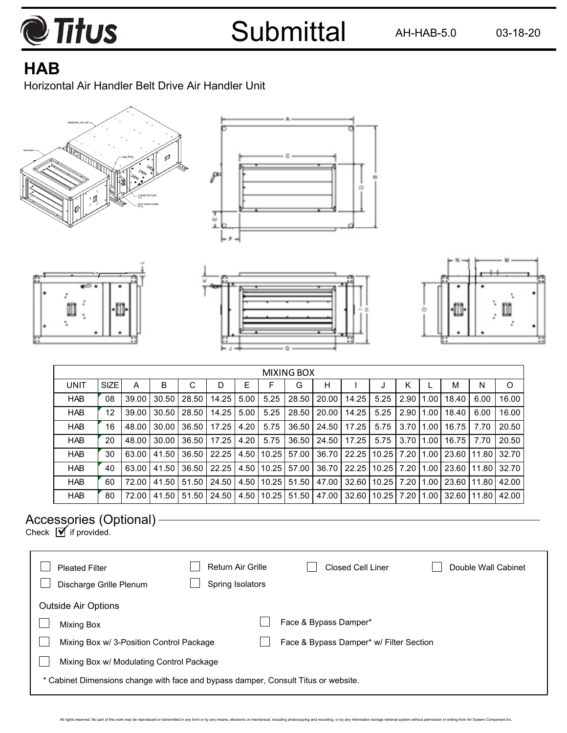

AH-HAB-5.0 03-18-20

# **HAB**

Horizontal Air Handler Belt Drive Air Handler Unit











|             | <b>MIXING BOX</b> |       |       |       |       |      |        |               |       |       |       |      |      |               |       |       |
|-------------|-------------------|-------|-------|-------|-------|------|--------|---------------|-------|-------|-------|------|------|---------------|-------|-------|
| <b>UNIT</b> | <b>SIZE</b>       | А     | в     | С     | D     | E    |        | G             | н     |       |       | κ    |      | м             | N     | O     |
| <b>HAB</b>  | 08                | 39.00 | 30.50 | 28.50 | 14.25 | 5.00 | 5.25   | 28.50         | 20.00 | 14.25 | 5.25  | 2.90 | 1.00 | 18.40         | 6.00  | 16.00 |
| <b>HAB</b>  | 12                | 39.00 | 30.50 | 28.50 | 14.25 | 5.00 | 5.25   | 28.50         | 20.00 | 14.25 | 5.25  | 2.90 | 1.00 | 18.40         | 6.00  | 16.00 |
| <b>HAB</b>  | 16                | 48.00 | 30.00 | 36.50 | 17.25 | 4.20 | 5.75   | 36.50         | 24.50 | 17.25 | 5.75  | 3.70 | 1.00 | 16.75         | 7.70  | 20.50 |
| <b>HAB</b>  | 20                | 48.00 | 30.00 | 36.50 | 17.25 | 4.20 | 5.75   | 36.50         | 24.50 | 17.25 | 5.75  | 3.70 | 1.00 | 16.75         | 7.70  | 20.50 |
| <b>HAB</b>  | 30                | 63.00 | 41.50 | 36.50 | 22.25 | 4.50 | 110.25 | 57.00         | 36.70 | 22.25 | 10.25 | 7.20 | 1.00 | 23.60         | 11.80 | 32.70 |
| <b>HAB</b>  | 40                | 63.00 | 41.50 | 36.50 | 22.25 | 4.50 | 110.25 | 57.00         | 36.70 | 22.25 | 10.25 | 7.20 | 1.00 | 23.60         | 11.80 | 32.70 |
| <b>HAB</b>  | 60                | 72.00 | 41.50 | 51.50 | 24.50 | 4.50 |        | $10.25$ 51.50 | 47.00 | 32.60 | 10.25 | 7.20 | 1.00 | 23.60   11.80 |       | 42.00 |
| <b>HAB</b>  | 80                | 72.00 | 41.50 | 51.50 | 24.50 | 4.50 | 10.25  | 51.50         | 47.00 | 32.60 | 10.25 | 7.20 | 1.00 | 32.60 11.80   |       | 42.00 |

### Accessories (Optional)

Check  $\overline{\mathbf{y}}$  if provided.

| <b>Pleated Filter</b><br>Discharge Grille Plenum                                   | <b>Return Air Grille</b><br>Spring Isolators | <b>Closed Cell Liner</b>                | Double Wall Cabinet |  |  |  |  |  |
|------------------------------------------------------------------------------------|----------------------------------------------|-----------------------------------------|---------------------|--|--|--|--|--|
| <b>Outside Air Options</b>                                                         |                                              |                                         |                     |  |  |  |  |  |
| <b>Mixing Box</b>                                                                  |                                              | Face & Bypass Damper*                   |                     |  |  |  |  |  |
| Mixing Box w/ 3-Position Control Package                                           |                                              | Face & Bypass Damper* w/ Filter Section |                     |  |  |  |  |  |
|                                                                                    | Mixing Box w/ Modulating Control Package     |                                         |                     |  |  |  |  |  |
| * Cabinet Dimensions change with face and bypass damper, Consult Titus or website. |                                              |                                         |                     |  |  |  |  |  |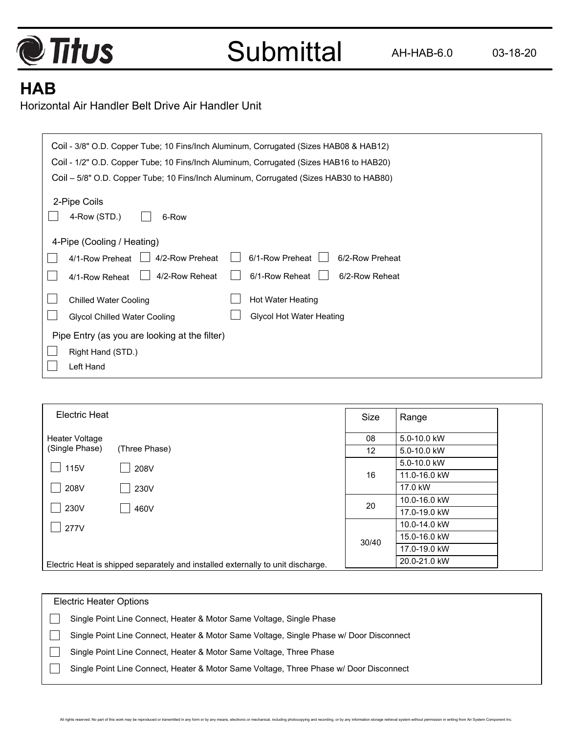

# **HAB**

 $\Gamma$ 

Horizontal Air Handler Belt Drive Air Handler Unit

| Coil - 3/8" O.D. Copper Tube; 10 Fins/Inch Aluminum, Corrugated (Sizes HAB08 & HAB12)  |  |  |  |  |  |  |  |  |
|----------------------------------------------------------------------------------------|--|--|--|--|--|--|--|--|
| Coil - 1/2" O.D. Copper Tube; 10 Fins/Inch Aluminum, Corrugated (Sizes HAB16 to HAB20) |  |  |  |  |  |  |  |  |
| Coil – 5/8" O.D. Copper Tube; 10 Fins/Inch Aluminum, Corrugated (Sizes HAB30 to HAB80) |  |  |  |  |  |  |  |  |
| 2-Pipe Coils                                                                           |  |  |  |  |  |  |  |  |
| 4-Row (STD.)<br>6-Row                                                                  |  |  |  |  |  |  |  |  |
|                                                                                        |  |  |  |  |  |  |  |  |
| 4-Pipe (Cooling / Heating)                                                             |  |  |  |  |  |  |  |  |
| 6/1-Row Preheat<br>4/2-Row Preheat<br>6/2-Row Preheat<br>4/1-Row Preheat               |  |  |  |  |  |  |  |  |
| 6/1-Row Reheat<br>4/2-Row Reheat<br>6/2-Row Reheat<br>4/1-Row Reheat                   |  |  |  |  |  |  |  |  |
| Hot Water Heating<br><b>Chilled Water Cooling</b>                                      |  |  |  |  |  |  |  |  |
| <b>Glycol Hot Water Heating</b><br><b>Glycol Chilled Water Cooling</b>                 |  |  |  |  |  |  |  |  |
| Pipe Entry (as you are looking at the filter)                                          |  |  |  |  |  |  |  |  |
| Right Hand (STD.)                                                                      |  |  |  |  |  |  |  |  |
| Left Hand                                                                              |  |  |  |  |  |  |  |  |

| <b>Electric Heat</b>             |                                                                                 | Size            | Range                        |  |
|----------------------------------|---------------------------------------------------------------------------------|-----------------|------------------------------|--|
| Heater Voltage<br>(Single Phase) |                                                                                 | 08              | 5.0-10.0 kW                  |  |
|                                  | (Three Phase)                                                                   | 12 <sup>2</sup> | 5.0-10.0 kW<br>5.0-10.0 kW   |  |
| 115V                             | 208V                                                                            | 16              | 11.0-16.0 kW                 |  |
| 208V                             | 230V                                                                            |                 | 17.0 kW                      |  |
| 230V                             | 460V                                                                            | 20              | 10.0-16.0 kW<br>17.0-19.0 kW |  |
| 277V                             |                                                                                 |                 | 10.0-14.0 kW                 |  |
|                                  |                                                                                 | 30/40           | 15.0-16.0 kW                 |  |
|                                  |                                                                                 |                 | 17.0-19.0 kW                 |  |
|                                  | Electric Heat is shipped separately and installed externally to unit discharge. |                 | 20.0-21.0 kW                 |  |

| <b>Electric Heater Options</b>                                                          |  |  |  |  |  |  |  |
|-----------------------------------------------------------------------------------------|--|--|--|--|--|--|--|
| Single Point Line Connect, Heater & Motor Same Voltage, Single Phase                    |  |  |  |  |  |  |  |
| Single Point Line Connect, Heater & Motor Same Voltage, Single Phase w/ Door Disconnect |  |  |  |  |  |  |  |
| Single Point Line Connect, Heater & Motor Same Voltage, Three Phase                     |  |  |  |  |  |  |  |
| Single Point Line Connect, Heater & Motor Same Voltage, Three Phase w/ Door Disconnect  |  |  |  |  |  |  |  |
|                                                                                         |  |  |  |  |  |  |  |